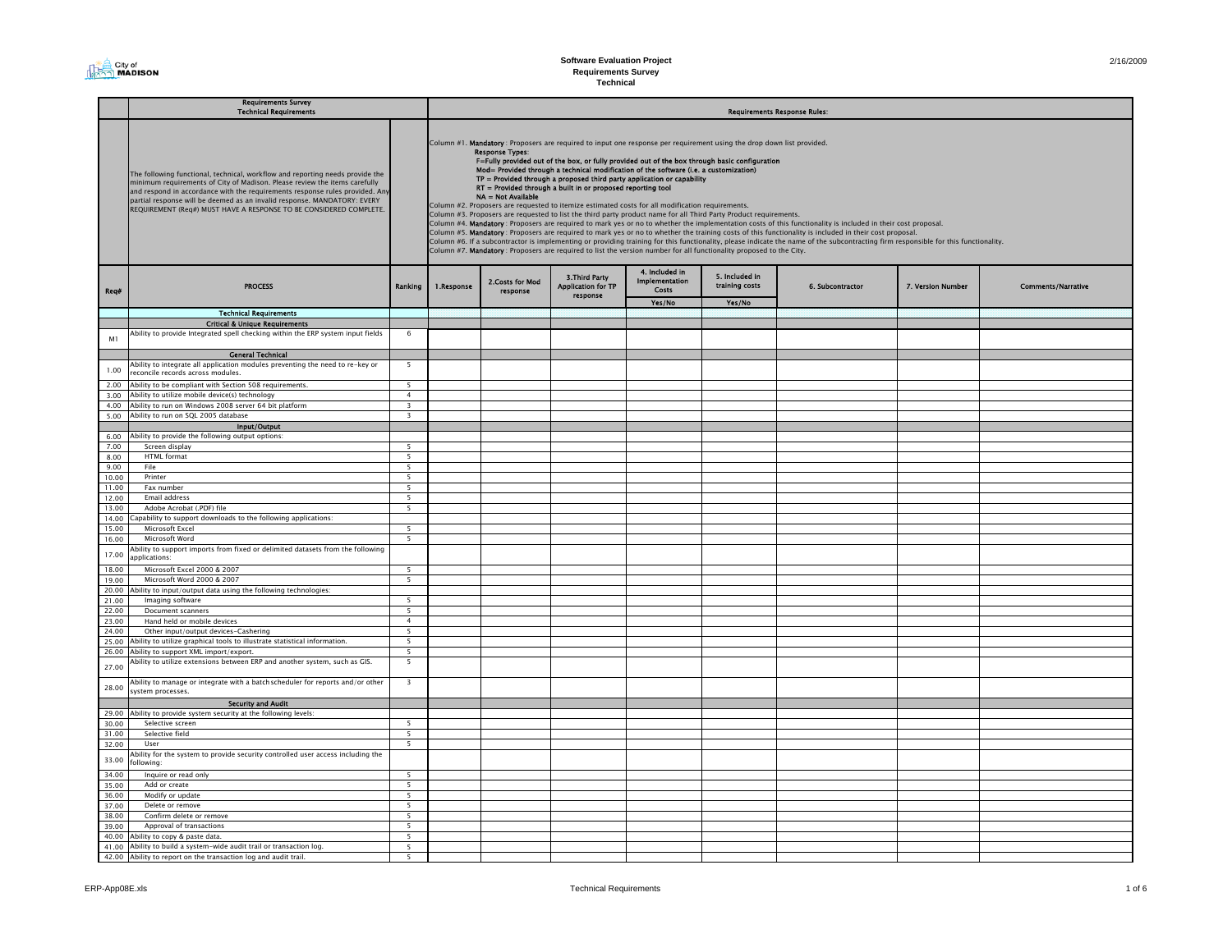

|                | <b>Requirements Survey</b><br><b>Technical Requirements</b>                                                                                                                                                                                                                                                                                                                                   |                               | <b>Requirements Response Rules:</b> |                                                                                                                                                                                                                                                                                                                                                                                                                                                                                                                                                                                                                                                                                                                                                                                                                                                                                                                                                                                                                                                                                                                                                                                                                                                                                                                                                                                |                                                         |                                                  |                                  |                  |                   |                           |  |  |  |
|----------------|-----------------------------------------------------------------------------------------------------------------------------------------------------------------------------------------------------------------------------------------------------------------------------------------------------------------------------------------------------------------------------------------------|-------------------------------|-------------------------------------|--------------------------------------------------------------------------------------------------------------------------------------------------------------------------------------------------------------------------------------------------------------------------------------------------------------------------------------------------------------------------------------------------------------------------------------------------------------------------------------------------------------------------------------------------------------------------------------------------------------------------------------------------------------------------------------------------------------------------------------------------------------------------------------------------------------------------------------------------------------------------------------------------------------------------------------------------------------------------------------------------------------------------------------------------------------------------------------------------------------------------------------------------------------------------------------------------------------------------------------------------------------------------------------------------------------------------------------------------------------------------------|---------------------------------------------------------|--------------------------------------------------|----------------------------------|------------------|-------------------|---------------------------|--|--|--|
|                | The following functional, technical, workflow and reporting needs provide the<br>minimum requirements of City of Madison. Please review the items carefully<br>and respond in accordance with the requirements response rules provided. Any<br>partial response will be deemed as an invalid response. MANDATORY: EVERY<br>REQUIREMENT (Req#) MUST HAVE A RESPONSE TO BE CONSIDERED COMPLETE. |                               |                                     | Column #1. Mandatory : Proposers are required to input one response per requirement using the drop down list provided.<br><b>Response Types:</b><br>F=Fully provided out of the box, or fully provided out of the box through basic configuration<br>Mod= Provided through a technical modification of the software (i.e. a customization)<br>$TP =$ Provided through a proposed third party application or capability<br>RT = Provided through a built in or proposed reporting tool<br>NA = Not Available<br>Column #2. Proposers are requested to itemize estimated costs for all modification requirements.<br>Column #3. Proposers are requested to list the third party product name for all Third Party Product requirements.<br>Column #4. Mandatory : Proposers are required to mark yes or no to whether the implementation costs of this functionality is included in their cost proposal.<br>Column #5. Mandatory: Proposers are required to mark yes or no to whether the training costs of this functionality is included in their cost proposal.<br>Column #6. If a subcontractor is implementing or providing training for this functionality, please indicate the name of the subcontracting firm responsible for this functionality.<br>Column #7. Mandatory : Proposers are required to list the version number for all functionality proposed to the City. |                                                         |                                                  |                                  |                  |                   |                           |  |  |  |
| Req#           | <b>PROCESS</b>                                                                                                                                                                                                                                                                                                                                                                                | Ranking                       | 1.Response                          | 2. Costs for Mod<br>response                                                                                                                                                                                                                                                                                                                                                                                                                                                                                                                                                                                                                                                                                                                                                                                                                                                                                                                                                                                                                                                                                                                                                                                                                                                                                                                                                   | 3. Third Party<br><b>Application for TP</b><br>response | 4. Included in<br>Implementation<br><b>Costs</b> | 5. Included in<br>training costs | 6. Subcontractor | 7. Version Number | <b>Comments/Narrative</b> |  |  |  |
|                | <b>Technical Requirements</b>                                                                                                                                                                                                                                                                                                                                                                 |                               |                                     |                                                                                                                                                                                                                                                                                                                                                                                                                                                                                                                                                                                                                                                                                                                                                                                                                                                                                                                                                                                                                                                                                                                                                                                                                                                                                                                                                                                |                                                         | Yes/No                                           | Yes/No                           |                  |                   |                           |  |  |  |
|                | <b>Critical &amp; Unique Requirements</b>                                                                                                                                                                                                                                                                                                                                                     |                               |                                     |                                                                                                                                                                                                                                                                                                                                                                                                                                                                                                                                                                                                                                                                                                                                                                                                                                                                                                                                                                                                                                                                                                                                                                                                                                                                                                                                                                                |                                                         |                                                  |                                  |                  |                   |                           |  |  |  |
|                | Ability to provide Integrated spell checking within the ERP system input fields                                                                                                                                                                                                                                                                                                               | -6                            |                                     |                                                                                                                                                                                                                                                                                                                                                                                                                                                                                                                                                                                                                                                                                                                                                                                                                                                                                                                                                                                                                                                                                                                                                                                                                                                                                                                                                                                |                                                         |                                                  |                                  |                  |                   |                           |  |  |  |
| M1             |                                                                                                                                                                                                                                                                                                                                                                                               |                               |                                     |                                                                                                                                                                                                                                                                                                                                                                                                                                                                                                                                                                                                                                                                                                                                                                                                                                                                                                                                                                                                                                                                                                                                                                                                                                                                                                                                                                                |                                                         |                                                  |                                  |                  |                   |                           |  |  |  |
|                | <b>General Technical</b>                                                                                                                                                                                                                                                                                                                                                                      |                               |                                     |                                                                                                                                                                                                                                                                                                                                                                                                                                                                                                                                                                                                                                                                                                                                                                                                                                                                                                                                                                                                                                                                                                                                                                                                                                                                                                                                                                                |                                                         |                                                  |                                  |                  |                   |                           |  |  |  |
| 1.00           | Ability to integrate all application modules preventing the need to re-key or<br>econcile records across modules.                                                                                                                                                                                                                                                                             | - 5                           |                                     |                                                                                                                                                                                                                                                                                                                                                                                                                                                                                                                                                                                                                                                                                                                                                                                                                                                                                                                                                                                                                                                                                                                                                                                                                                                                                                                                                                                |                                                         |                                                  |                                  |                  |                   |                           |  |  |  |
| 2.00           | Ability to be compliant with Section 508 requirements.                                                                                                                                                                                                                                                                                                                                        | 5                             |                                     |                                                                                                                                                                                                                                                                                                                                                                                                                                                                                                                                                                                                                                                                                                                                                                                                                                                                                                                                                                                                                                                                                                                                                                                                                                                                                                                                                                                |                                                         |                                                  |                                  |                  |                   |                           |  |  |  |
| 3.00           | Ability to utilize mobile device(s) technology                                                                                                                                                                                                                                                                                                                                                | $\overline{a}$                |                                     |                                                                                                                                                                                                                                                                                                                                                                                                                                                                                                                                                                                                                                                                                                                                                                                                                                                                                                                                                                                                                                                                                                                                                                                                                                                                                                                                                                                |                                                         |                                                  |                                  |                  |                   |                           |  |  |  |
|                | 4.00 Ability to run on Windows 2008 server 64 bit platform                                                                                                                                                                                                                                                                                                                                    | $\overline{3}$                |                                     |                                                                                                                                                                                                                                                                                                                                                                                                                                                                                                                                                                                                                                                                                                                                                                                                                                                                                                                                                                                                                                                                                                                                                                                                                                                                                                                                                                                |                                                         |                                                  |                                  |                  |                   |                           |  |  |  |
|                | 5.00 Ability to run on SQL 2005 database                                                                                                                                                                                                                                                                                                                                                      | $\overline{\mathbf{3}}$       |                                     |                                                                                                                                                                                                                                                                                                                                                                                                                                                                                                                                                                                                                                                                                                                                                                                                                                                                                                                                                                                                                                                                                                                                                                                                                                                                                                                                                                                |                                                         |                                                  |                                  |                  |                   |                           |  |  |  |
|                | Input/Output                                                                                                                                                                                                                                                                                                                                                                                  |                               |                                     |                                                                                                                                                                                                                                                                                                                                                                                                                                                                                                                                                                                                                                                                                                                                                                                                                                                                                                                                                                                                                                                                                                                                                                                                                                                                                                                                                                                |                                                         |                                                  |                                  |                  |                   |                           |  |  |  |
| 6.00           | Ability to provide the following output options:                                                                                                                                                                                                                                                                                                                                              |                               |                                     |                                                                                                                                                                                                                                                                                                                                                                                                                                                                                                                                                                                                                                                                                                                                                                                                                                                                                                                                                                                                                                                                                                                                                                                                                                                                                                                                                                                |                                                         |                                                  |                                  |                  |                   |                           |  |  |  |
| 7.00           | Screen display                                                                                                                                                                                                                                                                                                                                                                                | 5                             |                                     |                                                                                                                                                                                                                                                                                                                                                                                                                                                                                                                                                                                                                                                                                                                                                                                                                                                                                                                                                                                                                                                                                                                                                                                                                                                                                                                                                                                |                                                         |                                                  |                                  |                  |                   |                           |  |  |  |
| 8.00<br>9.00   | <b>HTML</b> format<br>File                                                                                                                                                                                                                                                                                                                                                                    | 5<br>- 5                      |                                     |                                                                                                                                                                                                                                                                                                                                                                                                                                                                                                                                                                                                                                                                                                                                                                                                                                                                                                                                                                                                                                                                                                                                                                                                                                                                                                                                                                                |                                                         |                                                  |                                  |                  |                   |                           |  |  |  |
| 10.00          | Printer                                                                                                                                                                                                                                                                                                                                                                                       | 5                             |                                     |                                                                                                                                                                                                                                                                                                                                                                                                                                                                                                                                                                                                                                                                                                                                                                                                                                                                                                                                                                                                                                                                                                                                                                                                                                                                                                                                                                                |                                                         |                                                  |                                  |                  |                   |                           |  |  |  |
| 11.00          | Fax number                                                                                                                                                                                                                                                                                                                                                                                    | 5                             |                                     |                                                                                                                                                                                                                                                                                                                                                                                                                                                                                                                                                                                                                                                                                                                                                                                                                                                                                                                                                                                                                                                                                                                                                                                                                                                                                                                                                                                |                                                         |                                                  |                                  |                  |                   |                           |  |  |  |
| 12.00          | Email address                                                                                                                                                                                                                                                                                                                                                                                 | 5                             |                                     |                                                                                                                                                                                                                                                                                                                                                                                                                                                                                                                                                                                                                                                                                                                                                                                                                                                                                                                                                                                                                                                                                                                                                                                                                                                                                                                                                                                |                                                         |                                                  |                                  |                  |                   |                           |  |  |  |
| 13.00          | Adobe Acrobat (.PDF) file                                                                                                                                                                                                                                                                                                                                                                     | 5                             |                                     |                                                                                                                                                                                                                                                                                                                                                                                                                                                                                                                                                                                                                                                                                                                                                                                                                                                                                                                                                                                                                                                                                                                                                                                                                                                                                                                                                                                |                                                         |                                                  |                                  |                  |                   |                           |  |  |  |
| 14.00          | Capability to support downloads to the following applications:                                                                                                                                                                                                                                                                                                                                |                               |                                     |                                                                                                                                                                                                                                                                                                                                                                                                                                                                                                                                                                                                                                                                                                                                                                                                                                                                                                                                                                                                                                                                                                                                                                                                                                                                                                                                                                                |                                                         |                                                  |                                  |                  |                   |                           |  |  |  |
| 15.00          | Microsoft Excel                                                                                                                                                                                                                                                                                                                                                                               | 5                             |                                     |                                                                                                                                                                                                                                                                                                                                                                                                                                                                                                                                                                                                                                                                                                                                                                                                                                                                                                                                                                                                                                                                                                                                                                                                                                                                                                                                                                                |                                                         |                                                  |                                  |                  |                   |                           |  |  |  |
| 16.00          | Microsoft Word                                                                                                                                                                                                                                                                                                                                                                                | 5                             |                                     |                                                                                                                                                                                                                                                                                                                                                                                                                                                                                                                                                                                                                                                                                                                                                                                                                                                                                                                                                                                                                                                                                                                                                                                                                                                                                                                                                                                |                                                         |                                                  |                                  |                  |                   |                           |  |  |  |
| 17.00          | Ability to support imports from fixed or delimited datasets from the following<br>applications:                                                                                                                                                                                                                                                                                               |                               |                                     |                                                                                                                                                                                                                                                                                                                                                                                                                                                                                                                                                                                                                                                                                                                                                                                                                                                                                                                                                                                                                                                                                                                                                                                                                                                                                                                                                                                |                                                         |                                                  |                                  |                  |                   |                           |  |  |  |
| 18.00          | Microsoft Excel 2000 & 2007                                                                                                                                                                                                                                                                                                                                                                   | 5                             |                                     |                                                                                                                                                                                                                                                                                                                                                                                                                                                                                                                                                                                                                                                                                                                                                                                                                                                                                                                                                                                                                                                                                                                                                                                                                                                                                                                                                                                |                                                         |                                                  |                                  |                  |                   |                           |  |  |  |
| 19.00          | Microsoft Word 2000 & 2007                                                                                                                                                                                                                                                                                                                                                                    | $\overline{\phantom{0}}$      |                                     |                                                                                                                                                                                                                                                                                                                                                                                                                                                                                                                                                                                                                                                                                                                                                                                                                                                                                                                                                                                                                                                                                                                                                                                                                                                                                                                                                                                |                                                         |                                                  |                                  |                  |                   |                           |  |  |  |
| 20.00          | Ability to input/output data using the following technologies:                                                                                                                                                                                                                                                                                                                                |                               |                                     |                                                                                                                                                                                                                                                                                                                                                                                                                                                                                                                                                                                                                                                                                                                                                                                                                                                                                                                                                                                                                                                                                                                                                                                                                                                                                                                                                                                |                                                         |                                                  |                                  |                  |                   |                           |  |  |  |
| 21.00          | Imaging software                                                                                                                                                                                                                                                                                                                                                                              | 5<br>$\overline{5}$           |                                     |                                                                                                                                                                                                                                                                                                                                                                                                                                                                                                                                                                                                                                                                                                                                                                                                                                                                                                                                                                                                                                                                                                                                                                                                                                                                                                                                                                                |                                                         |                                                  |                                  |                  |                   |                           |  |  |  |
| 22.00<br>23.00 | Document scanners<br>Hand held or mobile devices                                                                                                                                                                                                                                                                                                                                              | $\overline{4}$                |                                     |                                                                                                                                                                                                                                                                                                                                                                                                                                                                                                                                                                                                                                                                                                                                                                                                                                                                                                                                                                                                                                                                                                                                                                                                                                                                                                                                                                                |                                                         |                                                  |                                  |                  |                   |                           |  |  |  |
| 24.00          | Other input/output devices-Cashering                                                                                                                                                                                                                                                                                                                                                          | 5                             |                                     |                                                                                                                                                                                                                                                                                                                                                                                                                                                                                                                                                                                                                                                                                                                                                                                                                                                                                                                                                                                                                                                                                                                                                                                                                                                                                                                                                                                |                                                         |                                                  |                                  |                  |                   |                           |  |  |  |
| 25.00          | Ability to utilize graphical tools to illustrate statistical information.                                                                                                                                                                                                                                                                                                                     | 5                             |                                     |                                                                                                                                                                                                                                                                                                                                                                                                                                                                                                                                                                                                                                                                                                                                                                                                                                                                                                                                                                                                                                                                                                                                                                                                                                                                                                                                                                                |                                                         |                                                  |                                  |                  |                   |                           |  |  |  |
| 26.00          | Ability to support XML import/export.                                                                                                                                                                                                                                                                                                                                                         | 5                             |                                     |                                                                                                                                                                                                                                                                                                                                                                                                                                                                                                                                                                                                                                                                                                                                                                                                                                                                                                                                                                                                                                                                                                                                                                                                                                                                                                                                                                                |                                                         |                                                  |                                  |                  |                   |                           |  |  |  |
| 27.00          | Ability to utilize extensions between ERP and another system, such as GIS.                                                                                                                                                                                                                                                                                                                    | 5                             |                                     |                                                                                                                                                                                                                                                                                                                                                                                                                                                                                                                                                                                                                                                                                                                                                                                                                                                                                                                                                                                                                                                                                                                                                                                                                                                                                                                                                                                |                                                         |                                                  |                                  |                  |                   |                           |  |  |  |
| 28.00          | Ability to manage or integrate with a batch scheduler for reports and/or other<br>system processes.                                                                                                                                                                                                                                                                                           | $\overline{\mathbf{3}}$       |                                     |                                                                                                                                                                                                                                                                                                                                                                                                                                                                                                                                                                                                                                                                                                                                                                                                                                                                                                                                                                                                                                                                                                                                                                                                                                                                                                                                                                                |                                                         |                                                  |                                  |                  |                   |                           |  |  |  |
|                | <b>Security and Audit</b>                                                                                                                                                                                                                                                                                                                                                                     |                               |                                     |                                                                                                                                                                                                                                                                                                                                                                                                                                                                                                                                                                                                                                                                                                                                                                                                                                                                                                                                                                                                                                                                                                                                                                                                                                                                                                                                                                                |                                                         |                                                  |                                  |                  |                   |                           |  |  |  |
| 29.00          | Ability to provide system security at the following levels:                                                                                                                                                                                                                                                                                                                                   |                               |                                     |                                                                                                                                                                                                                                                                                                                                                                                                                                                                                                                                                                                                                                                                                                                                                                                                                                                                                                                                                                                                                                                                                                                                                                                                                                                                                                                                                                                |                                                         |                                                  |                                  |                  |                   |                           |  |  |  |
| 30.00          | Selective screen                                                                                                                                                                                                                                                                                                                                                                              | 5                             |                                     |                                                                                                                                                                                                                                                                                                                                                                                                                                                                                                                                                                                                                                                                                                                                                                                                                                                                                                                                                                                                                                                                                                                                                                                                                                                                                                                                                                                |                                                         |                                                  |                                  |                  |                   |                           |  |  |  |
| 31.00          | Selective field                                                                                                                                                                                                                                                                                                                                                                               | $\overline{5}$                |                                     |                                                                                                                                                                                                                                                                                                                                                                                                                                                                                                                                                                                                                                                                                                                                                                                                                                                                                                                                                                                                                                                                                                                                                                                                                                                                                                                                                                                |                                                         |                                                  |                                  |                  |                   |                           |  |  |  |
| 32.00          | User                                                                                                                                                                                                                                                                                                                                                                                          | 5                             |                                     |                                                                                                                                                                                                                                                                                                                                                                                                                                                                                                                                                                                                                                                                                                                                                                                                                                                                                                                                                                                                                                                                                                                                                                                                                                                                                                                                                                                |                                                         |                                                  |                                  |                  |                   |                           |  |  |  |
| 33.00          | Ability for the system to provide security controlled user access including the<br>following:                                                                                                                                                                                                                                                                                                 |                               |                                     |                                                                                                                                                                                                                                                                                                                                                                                                                                                                                                                                                                                                                                                                                                                                                                                                                                                                                                                                                                                                                                                                                                                                                                                                                                                                                                                                                                                |                                                         |                                                  |                                  |                  |                   |                           |  |  |  |
| 34.00          | Inquire or read only                                                                                                                                                                                                                                                                                                                                                                          | 5                             |                                     |                                                                                                                                                                                                                                                                                                                                                                                                                                                                                                                                                                                                                                                                                                                                                                                                                                                                                                                                                                                                                                                                                                                                                                                                                                                                                                                                                                                |                                                         |                                                  |                                  |                  |                   |                           |  |  |  |
| 35.00          | Add or create                                                                                                                                                                                                                                                                                                                                                                                 | $\overline{\phantom{0}}$      |                                     |                                                                                                                                                                                                                                                                                                                                                                                                                                                                                                                                                                                                                                                                                                                                                                                                                                                                                                                                                                                                                                                                                                                                                                                                                                                                                                                                                                                |                                                         |                                                  |                                  |                  |                   |                           |  |  |  |
| 36.00          | Modify or update                                                                                                                                                                                                                                                                                                                                                                              | 5                             |                                     |                                                                                                                                                                                                                                                                                                                                                                                                                                                                                                                                                                                                                                                                                                                                                                                                                                                                                                                                                                                                                                                                                                                                                                                                                                                                                                                                                                                |                                                         |                                                  |                                  |                  |                   |                           |  |  |  |
| 37.00          | Delete or remove                                                                                                                                                                                                                                                                                                                                                                              | $\overline{\phantom{0}}$      |                                     |                                                                                                                                                                                                                                                                                                                                                                                                                                                                                                                                                                                                                                                                                                                                                                                                                                                                                                                                                                                                                                                                                                                                                                                                                                                                                                                                                                                |                                                         |                                                  |                                  |                  |                   |                           |  |  |  |
| 38.00<br>39.00 | Confirm delete or remove<br>Approval of transactions                                                                                                                                                                                                                                                                                                                                          | $\overline{\phantom{a}}$<br>5 |                                     |                                                                                                                                                                                                                                                                                                                                                                                                                                                                                                                                                                                                                                                                                                                                                                                                                                                                                                                                                                                                                                                                                                                                                                                                                                                                                                                                                                                |                                                         |                                                  |                                  |                  |                   |                           |  |  |  |
| 40.00          | Ability to copy & paste data.                                                                                                                                                                                                                                                                                                                                                                 | $\overline{\phantom{0}}$      |                                     |                                                                                                                                                                                                                                                                                                                                                                                                                                                                                                                                                                                                                                                                                                                                                                                                                                                                                                                                                                                                                                                                                                                                                                                                                                                                                                                                                                                |                                                         |                                                  |                                  |                  |                   |                           |  |  |  |
| 41.00          | Ability to build a system-wide audit trail or transaction log.                                                                                                                                                                                                                                                                                                                                | $\overline{\phantom{a}}$      |                                     |                                                                                                                                                                                                                                                                                                                                                                                                                                                                                                                                                                                                                                                                                                                                                                                                                                                                                                                                                                                                                                                                                                                                                                                                                                                                                                                                                                                |                                                         |                                                  |                                  |                  |                   |                           |  |  |  |
| 42.00          | Ability to report on the transaction log and audit trail.                                                                                                                                                                                                                                                                                                                                     | $\overline{5}$                |                                     |                                                                                                                                                                                                                                                                                                                                                                                                                                                                                                                                                                                                                                                                                                                                                                                                                                                                                                                                                                                                                                                                                                                                                                                                                                                                                                                                                                                |                                                         |                                                  |                                  |                  |                   |                           |  |  |  |
|                |                                                                                                                                                                                                                                                                                                                                                                                               |                               |                                     |                                                                                                                                                                                                                                                                                                                                                                                                                                                                                                                                                                                                                                                                                                                                                                                                                                                                                                                                                                                                                                                                                                                                                                                                                                                                                                                                                                                |                                                         |                                                  |                                  |                  |                   |                           |  |  |  |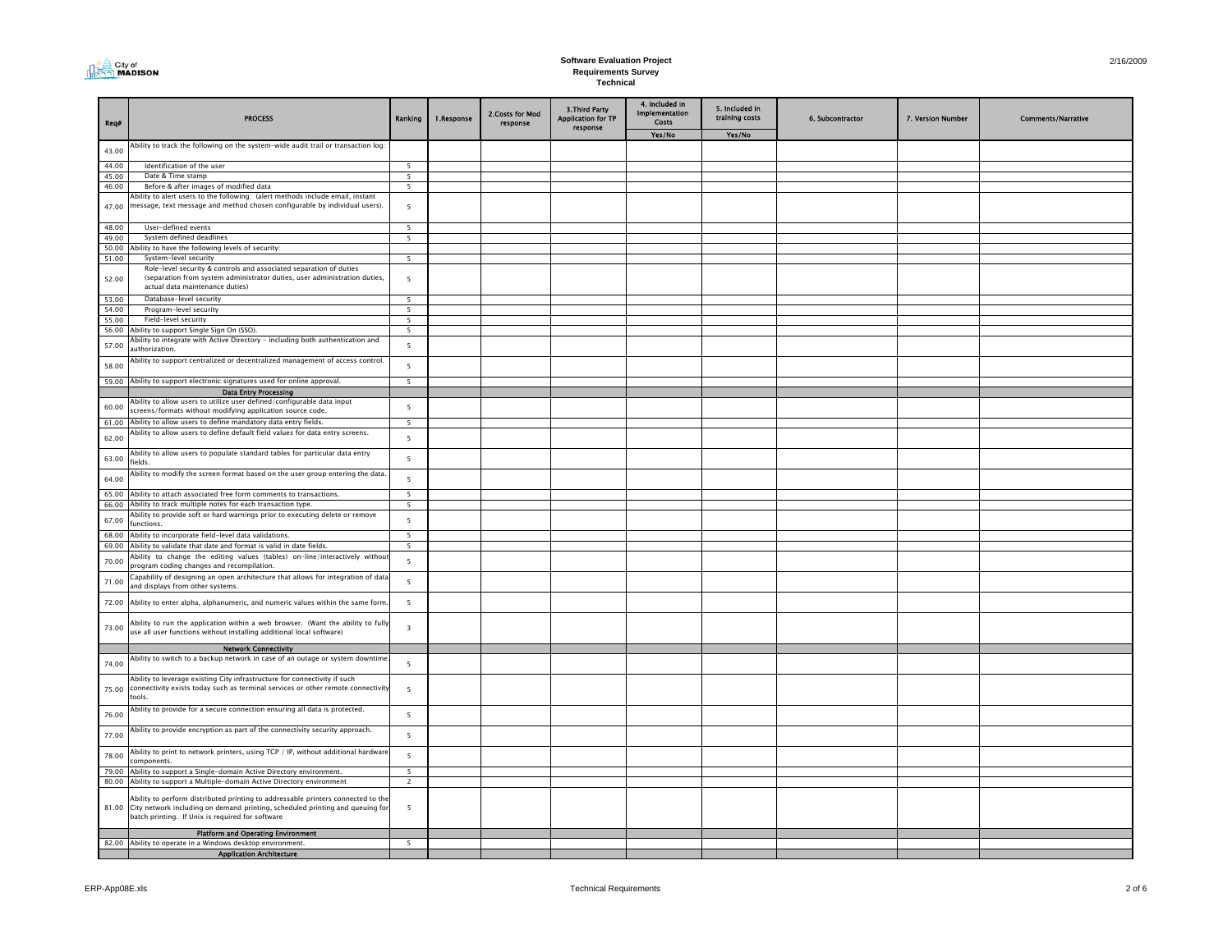| City of<br>$\cap$ MADISON |
|---------------------------|
|---------------------------|

| Req#           | <b>PROCESS</b>                                                                                                                                                                                        | Ranking                       | 1.Response | 2.Costs for Mod<br>response | 3. Third Party<br><b>Application for TP</b><br>response | 4. Included in<br><b>Implementation</b><br>Costs | 5. Included in<br>training costs | 6. Subcontractor | 7. Version Number | <b>Comments/Narrative</b> |
|----------------|-------------------------------------------------------------------------------------------------------------------------------------------------------------------------------------------------------|-------------------------------|------------|-----------------------------|---------------------------------------------------------|--------------------------------------------------|----------------------------------|------------------|-------------------|---------------------------|
|                |                                                                                                                                                                                                       |                               |            |                             |                                                         | Yes/No                                           | Yes/No                           |                  |                   |                           |
| 43.00          | Ability to track the following on the system-wide audit trail or transaction log:                                                                                                                     |                               |            |                             |                                                         |                                                  |                                  |                  |                   |                           |
| 44.00          | Identification of the user                                                                                                                                                                            | 5                             |            |                             |                                                         |                                                  |                                  |                  |                   |                           |
| 45.00          | Date & Time stamp                                                                                                                                                                                     | $\overline{5}$                |            |                             |                                                         |                                                  |                                  |                  |                   |                           |
| 46.00          | Before & after images of modified data                                                                                                                                                                | 5                             |            |                             |                                                         |                                                  |                                  |                  |                   |                           |
| 47.00          | Ability to alert users to the following: (alert methods include email, instant<br>message, text message and method chosen configurable by individual users).                                          | 5                             |            |                             |                                                         |                                                  |                                  |                  |                   |                           |
| 48.00          | User-defined events                                                                                                                                                                                   | $\overline{5}$                |            |                             |                                                         |                                                  |                                  |                  |                   |                           |
| 49.00          | System defined deadlines                                                                                                                                                                              | 5                             |            |                             |                                                         |                                                  |                                  |                  |                   |                           |
| 50.00          | Ability to have the following levels of security:                                                                                                                                                     |                               |            |                             |                                                         |                                                  |                                  |                  |                   |                           |
| 51.00          | System-level security                                                                                                                                                                                 | 5                             |            |                             |                                                         |                                                  |                                  |                  |                   |                           |
| 52.00          | Role-level security & controls and associated separation of duties<br>(separation from system administrator duties, user administration duties,<br>actual data maintenance duties)                    | 5                             |            |                             |                                                         |                                                  |                                  |                  |                   |                           |
| 53.00          | Database-level security                                                                                                                                                                               | $\overline{5}$                |            |                             |                                                         |                                                  |                                  |                  |                   |                           |
| 54.00          | Program-level security<br>Field-level security                                                                                                                                                        | 5<br>$\overline{5}$           |            |                             |                                                         |                                                  |                                  |                  |                   |                           |
| 55.00<br>56.00 | Ability to support Single Sign On (SSO).                                                                                                                                                              | 5                             |            |                             |                                                         |                                                  |                                  |                  |                   |                           |
| 57.00          | Ability to integrate with Active Directory - including both authentication and<br>authorization                                                                                                       | 5                             |            |                             |                                                         |                                                  |                                  |                  |                   |                           |
| 58.00          | Ability to support centralized or decentralized management of access control.                                                                                                                         | 5                             |            |                             |                                                         |                                                  |                                  |                  |                   |                           |
| 59.00          | Ability to support electronic signatures used for online approval.                                                                                                                                    | 5                             |            |                             |                                                         |                                                  |                                  |                  |                   |                           |
|                | <b>Data Entry Processing</b>                                                                                                                                                                          |                               |            |                             |                                                         |                                                  |                                  |                  |                   |                           |
| 60.00<br>61.00 | Ability to allow users to utilize user defined/configurable data input<br>screens/formats without modifying application source code.<br>Ability to allow users to define mandatory data entry fields. | 5<br>5                        |            |                             |                                                         |                                                  |                                  |                  |                   |                           |
|                | Ability to allow users to define default field values for data entry screens.                                                                                                                         |                               |            |                             |                                                         |                                                  |                                  |                  |                   |                           |
| 62.00          |                                                                                                                                                                                                       | 5                             |            |                             |                                                         |                                                  |                                  |                  |                   |                           |
| 63.00          | Ability to allow users to populate standard tables for particular data entry<br>fields.                                                                                                               | $\overline{5}$                |            |                             |                                                         |                                                  |                                  |                  |                   |                           |
| 64.00          | Ability to modify the screen format based on the user group entering the data.                                                                                                                        | 5                             |            |                             |                                                         |                                                  |                                  |                  |                   |                           |
| 65.00<br>66.00 | Ability to attach associated free form comments to transactions.<br>Ability to track multiple notes for each transaction type.                                                                        | 5<br>$\overline{\phantom{a}}$ |            |                             |                                                         |                                                  |                                  |                  |                   |                           |
|                | Ability to provide soft or hard warnings prior to executing delete or remove                                                                                                                          |                               |            |                             |                                                         |                                                  |                                  |                  |                   |                           |
| 67.00          | functions.                                                                                                                                                                                            | 5                             |            |                             |                                                         |                                                  |                                  |                  |                   |                           |
| 68.00          | Ability to incorporate field-level data validations.                                                                                                                                                  | $\overline{5}$                |            |                             |                                                         |                                                  |                                  |                  |                   |                           |
| 69.00          | Ability to validate that date and format is valid in date fields.                                                                                                                                     | 5                             |            |                             |                                                         |                                                  |                                  |                  |                   |                           |
| 70.00          | Ability to change the editing values (tables) on-line/interactively withou<br>program coding changes and recompilation.                                                                               | 5                             |            |                             |                                                         |                                                  |                                  |                  |                   |                           |
| 71.00          | Capability of designing an open architecture that allows for integration of data<br>and displays from other systems.                                                                                  | $\overline{5}$                |            |                             |                                                         |                                                  |                                  |                  |                   |                           |
| 72.00          | Ability to enter alpha, alphanumeric, and numeric values within the same form                                                                                                                         | $\overline{5}$                |            |                             |                                                         |                                                  |                                  |                  |                   |                           |
| 73.00          | Ability to run the application within a web browser. (Want the ability to fully<br>use all user functions without installing additional local software)                                               | $\overline{3}$                |            |                             |                                                         |                                                  |                                  |                  |                   |                           |
|                | <b>Network Connectivity</b>                                                                                                                                                                           |                               |            |                             |                                                         |                                                  |                                  |                  |                   |                           |
| 74.00          | Ability to switch to a backup network in case of an outage or system downtime<br>Ability to leverage existing City infrastructure for connectivity if such                                            | 5                             |            |                             |                                                         |                                                  |                                  |                  |                   |                           |
| 75.00          | connectivity exists today such as terminal services or other remote connectivity<br>tools.                                                                                                            | 5                             |            |                             |                                                         |                                                  |                                  |                  |                   |                           |
| 76.00          | Ability to provide for a secure connection ensuring all data is protected.                                                                                                                            | 5                             |            |                             |                                                         |                                                  |                                  |                  |                   |                           |
| 77.00          | Ability to provide encryption as part of the connectivity security approach.                                                                                                                          | 5                             |            |                             |                                                         |                                                  |                                  |                  |                   |                           |
| 78.00          | Ability to print to network printers, using TCP / IP, without additional hardware<br>components.                                                                                                      | 5                             |            |                             |                                                         |                                                  |                                  |                  |                   |                           |
| 79.00          | Ability to support a Single-domain Active Directory environment.<br>80.00 Ability to support a Multiple-domain Active Directory environment                                                           | 5 <sup>5</sup><br>2           |            |                             |                                                         |                                                  |                                  |                  |                   |                           |
| 81.00          | Ability to perform distributed printing to addressable printers connected to the                                                                                                                      | 5                             |            |                             |                                                         |                                                  |                                  |                  |                   |                           |
|                | City network including on demand printing, scheduled printing and queuing for<br>batch printing. If Unix is required for software                                                                     |                               |            |                             |                                                         |                                                  |                                  |                  |                   |                           |
|                | <b>Platform and Operating Environment</b><br>82.00 Ability to operate in a Windows desktop environment.                                                                                               | $\overline{\phantom{a}}$      |            |                             |                                                         |                                                  |                                  |                  |                   |                           |
|                | <b>Application Architecture</b>                                                                                                                                                                       |                               |            |                             |                                                         |                                                  |                                  |                  |                   |                           |
|                |                                                                                                                                                                                                       |                               |            |                             |                                                         |                                                  |                                  |                  |                   |                           |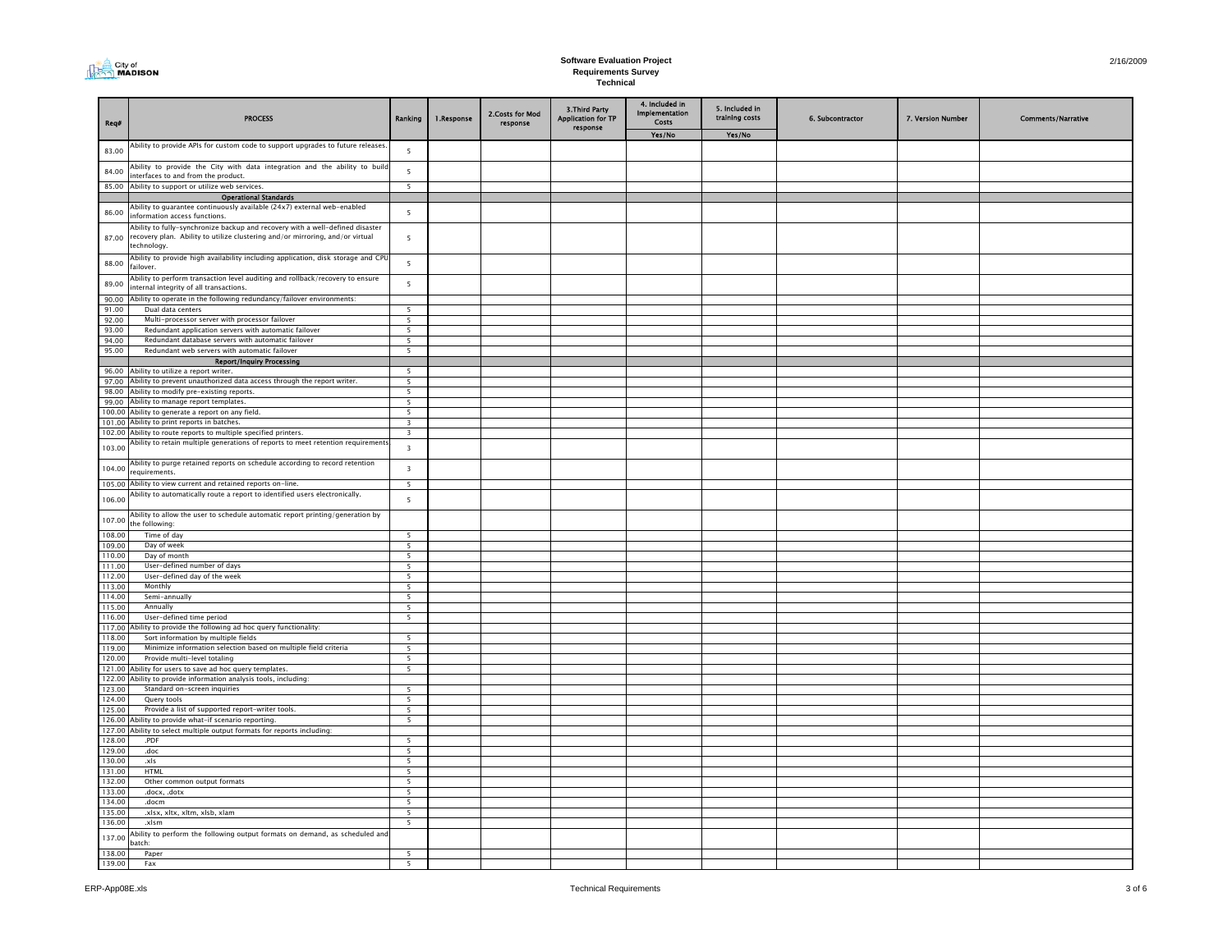| City of<br>I MADISON |
|----------------------|
|----------------------|

| Req#             | <b>PROCESS</b>                                                                                                                                                                | Ranking                                             | 1.Response | 2.Costs for Mod<br>response | 3. Third Party<br><b>Application for TP</b><br>response | 4. Included in<br>Implementation<br>Costs<br>Yes/No | 5. Included in<br>training costs<br>Yes/No | 6. Subcontractor | 7. Version Number | <b>Comments/Narrative</b> |
|------------------|-------------------------------------------------------------------------------------------------------------------------------------------------------------------------------|-----------------------------------------------------|------------|-----------------------------|---------------------------------------------------------|-----------------------------------------------------|--------------------------------------------|------------------|-------------------|---------------------------|
|                  | Ability to provide APIs for custom code to support upgrades to future releases                                                                                                |                                                     |            |                             |                                                         |                                                     |                                            |                  |                   |                           |
| 83.00            | Ability to provide the City with data integration and the ability to buil                                                                                                     | 5<br>5                                              |            |                             |                                                         |                                                     |                                            |                  |                   |                           |
| 84.00            | interfaces to and from the product.                                                                                                                                           |                                                     |            |                             |                                                         |                                                     |                                            |                  |                   |                           |
| 85.00            | Ability to support or utilize web services.<br><b>Operational Standards</b>                                                                                                   | $\overline{5}$                                      |            |                             |                                                         |                                                     |                                            |                  |                   |                           |
|                  | Ability to guarantee continuously available (24x7) external web-enabled                                                                                                       |                                                     |            |                             |                                                         |                                                     |                                            |                  |                   |                           |
| 86.00            | information access functions.                                                                                                                                                 | 5                                                   |            |                             |                                                         |                                                     |                                            |                  |                   |                           |
| 87.00            | Ability to fully-synchronize backup and recovery with a well-defined disaster<br>recovery plan. Ability to utilize clustering and/or mirroring, and/or virtual<br>technology. | 5                                                   |            |                             |                                                         |                                                     |                                            |                  |                   |                           |
| 88.00            | Ability to provide high availability including application, disk storage and CPU<br>failover.                                                                                 | 5                                                   |            |                             |                                                         |                                                     |                                            |                  |                   |                           |
| 89.00            | Ability to perform transaction level auditing and rollback/recovery to ensure<br>internal integrity of all transactions.                                                      | 5                                                   |            |                             |                                                         |                                                     |                                            |                  |                   |                           |
| 90.00            | Ability to operate in the following redundancy/failover environments:                                                                                                         |                                                     |            |                             |                                                         |                                                     |                                            |                  |                   |                           |
| 91.00            | Dual data centers                                                                                                                                                             | 5<br>$5^{\circ}$                                    |            |                             |                                                         |                                                     |                                            |                  |                   |                           |
| 92.00<br>93.00   | Multi-processor server with processor failover<br>Redundant application servers with automatic failover                                                                       | 5                                                   |            |                             |                                                         |                                                     |                                            |                  |                   |                           |
| 94.00            | Redundant database servers with automatic failover                                                                                                                            | 5                                                   |            |                             |                                                         |                                                     |                                            |                  |                   |                           |
| 95.00            | Redundant web servers with automatic failover                                                                                                                                 | $5^{\circ}$                                         |            |                             |                                                         |                                                     |                                            |                  |                   |                           |
|                  | <b>Report/Inquiry Processing</b>                                                                                                                                              |                                                     |            |                             |                                                         |                                                     |                                            |                  |                   |                           |
|                  | 96.00 Ability to utilize a report writer.<br>Ability to prevent unauthorized data access through the report writer.                                                           | 5                                                   |            |                             |                                                         |                                                     |                                            |                  |                   |                           |
| 97.00<br>98.00   | Ability to modify pre-existing reports.                                                                                                                                       | 5<br>5                                              |            |                             |                                                         |                                                     |                                            |                  |                   |                           |
| 99.00            | Ability to manage report templates.                                                                                                                                           | $5^{\circ}$                                         |            |                             |                                                         |                                                     |                                            |                  |                   |                           |
| 100.00           | Ability to generate a report on any field.                                                                                                                                    | 5                                                   |            |                             |                                                         |                                                     |                                            |                  |                   |                           |
|                  | 101.00 Ability to print reports in batches.                                                                                                                                   | $\overline{\mathbf{3}}$                             |            |                             |                                                         |                                                     |                                            |                  |                   |                           |
| 102.00           | Ability to route reports to multiple specified printers.                                                                                                                      | $\overline{3}$                                      |            |                             |                                                         |                                                     |                                            |                  |                   |                           |
| 103.00           | Ability to retain multiple generations of reports to meet retention requirements<br>Ability to purge retained reports on schedule according to record retention               | $\overline{\mathbf{3}}$                             |            |                             |                                                         |                                                     |                                            |                  |                   |                           |
| 104.00<br>105.00 | requirements.<br>Ability to view current and retained reports on-line.                                                                                                        | $\overline{\mathbf{3}}$<br>$\overline{\phantom{a}}$ |            |                             |                                                         |                                                     |                                            |                  |                   |                           |
|                  | Ability to automatically route a report to identified users electronically.                                                                                                   |                                                     |            |                             |                                                         |                                                     |                                            |                  |                   |                           |
| 106.00           | Ability to allow the user to schedule automatic report printing/generation by                                                                                                 | 5                                                   |            |                             |                                                         |                                                     |                                            |                  |                   |                           |
| 107.00           | the following:                                                                                                                                                                |                                                     |            |                             |                                                         |                                                     |                                            |                  |                   |                           |
| 108.00           | Time of day                                                                                                                                                                   | $\overline{\mathbf{S}}$                             |            |                             |                                                         |                                                     |                                            |                  |                   |                           |
| 109.00<br>110.00 | Day of week<br>Day of month                                                                                                                                                   | 5<br>$\overline{5}$                                 |            |                             |                                                         |                                                     |                                            |                  |                   |                           |
| 111.00           | User-defined number of days                                                                                                                                                   | $\overline{\phantom{a}}$                            |            |                             |                                                         |                                                     |                                            |                  |                   |                           |
| 112.00           | User-defined day of the week                                                                                                                                                  | $\overline{5}$                                      |            |                             |                                                         |                                                     |                                            |                  |                   |                           |
| 113.00           | Monthly                                                                                                                                                                       |                                                     |            |                             |                                                         |                                                     |                                            |                  |                   |                           |
| 114.00           | Semi-annually                                                                                                                                                                 | $\overline{\phantom{a}}$                            |            |                             |                                                         |                                                     |                                            |                  |                   |                           |
| 115.00<br>116.00 | Annually<br>User-defined time period                                                                                                                                          | $5^{\circ}$<br>$\overline{\phantom{a}}$             |            |                             |                                                         |                                                     |                                            |                  |                   |                           |
|                  | 117.00 Ability to provide the following ad hoc query functionality:                                                                                                           |                                                     |            |                             |                                                         |                                                     |                                            |                  |                   |                           |
| 118.00           | Sort information by multiple fields                                                                                                                                           | $\overline{\phantom{a}}$                            |            |                             |                                                         |                                                     |                                            |                  |                   |                           |
| 119.00           | Minimize information selection based on multiple field criteria                                                                                                               | $\overline{\phantom{a}}$                            |            |                             |                                                         |                                                     |                                            |                  |                   |                           |
| 120.00           | Provide multi-level totaling                                                                                                                                                  | $\overline{5}$                                      |            |                             |                                                         |                                                     |                                            |                  |                   |                           |
|                  | 121.00 Ability for users to save ad hoc query templates.<br>122.00 Ability to provide information analysis tools, including:                                                  | $\overline{\phantom{0}}$                            |            |                             |                                                         |                                                     |                                            |                  |                   |                           |
| 123.00           | Standard on-screen inquiries                                                                                                                                                  | $\overline{5}$                                      |            |                             |                                                         |                                                     |                                            |                  |                   |                           |
| 124.00           | Query tools                                                                                                                                                                   | $\overline{\phantom{0}}$                            |            |                             |                                                         |                                                     |                                            |                  |                   |                           |
| 125.00           | Provide a list of supported report-writer tools.                                                                                                                              | $\overline{\phantom{0}}$                            |            |                             |                                                         |                                                     |                                            |                  |                   |                           |
|                  | 126.00 Ability to provide what-if scenario reporting.                                                                                                                         | 5                                                   |            |                             |                                                         |                                                     |                                            |                  |                   |                           |
| 127.00           | Ability to select multiple output formats for reports including:                                                                                                              |                                                     |            |                             |                                                         |                                                     |                                            |                  |                   |                           |
| 128.00<br>129.00 | .PDF<br>.doc                                                                                                                                                                  | $\overline{5}$                                      |            |                             |                                                         |                                                     |                                            |                  |                   |                           |
| 130.00           | .xls                                                                                                                                                                          | $5^{\circ}$                                         |            |                             |                                                         |                                                     |                                            |                  |                   |                           |
| 131.00           | <b>HTML</b>                                                                                                                                                                   | 5                                                   |            |                             |                                                         |                                                     |                                            |                  |                   |                           |
| 132.00           | Other common output formats                                                                                                                                                   | $\overline{\phantom{a}}$                            |            |                             |                                                         |                                                     |                                            |                  |                   |                           |
| 133.00           | .docx, .dotx                                                                                                                                                                  | $5^{\circ}$                                         |            |                             |                                                         |                                                     |                                            |                  |                   |                           |
| 134.00           | .docm                                                                                                                                                                         | 5<br>$5^{\circ}$                                    |            |                             |                                                         |                                                     |                                            |                  |                   |                           |
| 135.00<br>136.00 | .xlsx, xltx, xltm, xlsb, xlam<br>.xlsm                                                                                                                                        | $5^{\circ}$                                         |            |                             |                                                         |                                                     |                                            |                  |                   |                           |
| 137.00           | Ability to perform the following output formats on demand, as scheduled and<br>batch:                                                                                         |                                                     |            |                             |                                                         |                                                     |                                            |                  |                   |                           |
| 138.00           | Paper                                                                                                                                                                         | 5                                                   |            |                             |                                                         |                                                     |                                            |                  |                   |                           |
| 139.00           | Fax                                                                                                                                                                           | $\overline{\phantom{a}}$                            |            |                             |                                                         |                                                     |                                            |                  |                   |                           |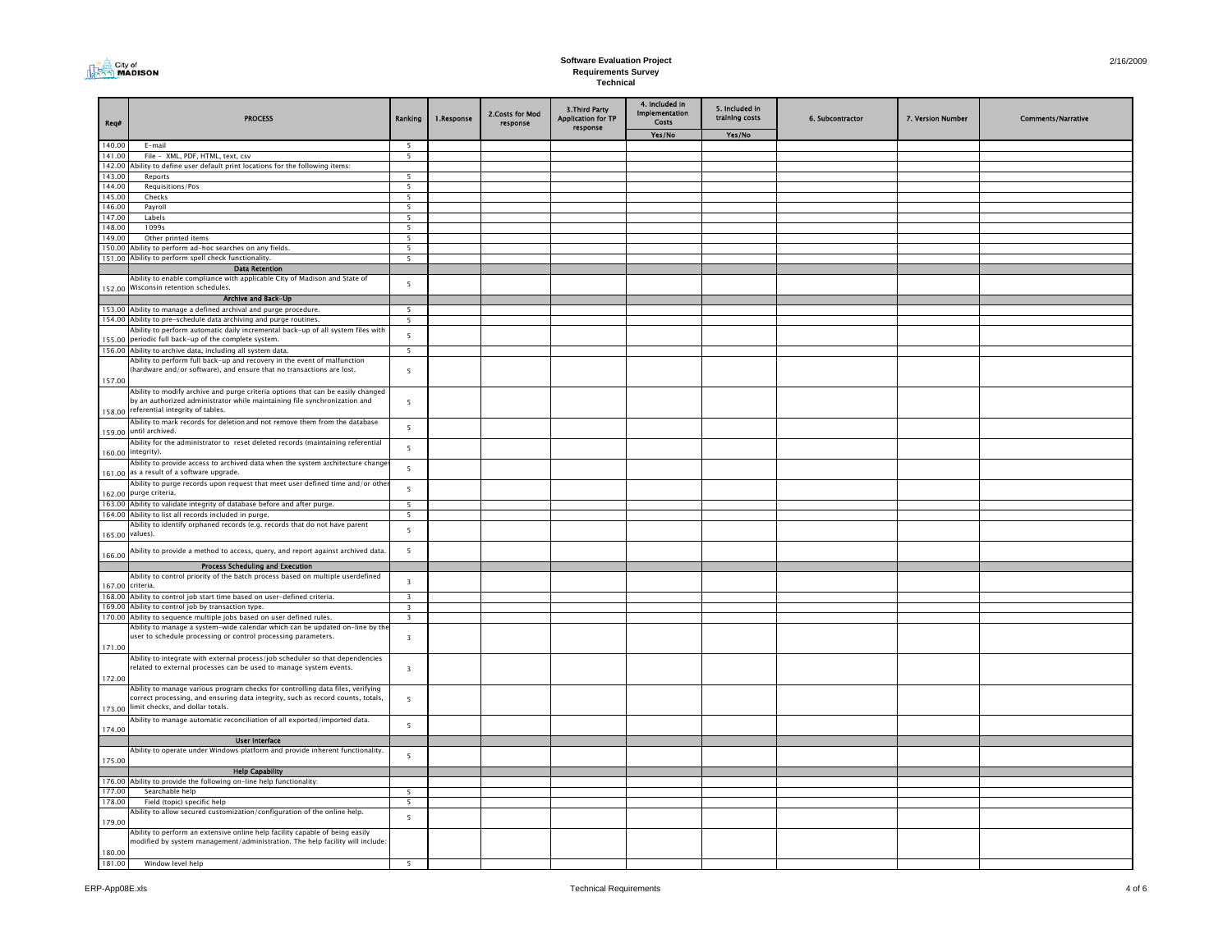|--|

| Req#             | <b>PROCESS</b>                                                                                                                                                | Ranking                                    | 1.Response | 2.Costs for Mod<br>response | 3. Third Party<br><b>Application for TP</b><br>response | 4. Included in<br>Implementation<br><b>Costs</b> | 5. Included in<br>training costs | 6. Subcontractor | 7. Version Number | <b>Comments/Narrative</b> |
|------------------|---------------------------------------------------------------------------------------------------------------------------------------------------------------|--------------------------------------------|------------|-----------------------------|---------------------------------------------------------|--------------------------------------------------|----------------------------------|------------------|-------------------|---------------------------|
|                  |                                                                                                                                                               |                                            |            |                             |                                                         | Yes/No                                           | Yes/No                           |                  |                   |                           |
| 140.00           | E-mail                                                                                                                                                        | 5                                          |            |                             |                                                         |                                                  |                                  |                  |                   |                           |
| 141.00           | File - XML, PDF, HTML, text, csv                                                                                                                              | $\overline{\phantom{0}}$                   |            |                             |                                                         |                                                  |                                  |                  |                   |                           |
| 142.00           | Ability to define user default print locations for the following items:                                                                                       |                                            |            |                             |                                                         |                                                  |                                  |                  |                   |                           |
| 143.00<br>144.00 | Reports<br>Requisitions/Pos                                                                                                                                   | $\overline{\phantom{a}}$<br>$\overline{5}$ |            |                             |                                                         |                                                  |                                  |                  |                   |                           |
| 145.00           | Checks                                                                                                                                                        | $\overline{\phantom{0}}$                   |            |                             |                                                         |                                                  |                                  |                  |                   |                           |
| 146.00           | Payroll                                                                                                                                                       | $\overline{\phantom{0}}$                   |            |                             |                                                         |                                                  |                                  |                  |                   |                           |
| 147.00           | Labels                                                                                                                                                        | $\overline{\mathbf{5}}$                    |            |                             |                                                         |                                                  |                                  |                  |                   |                           |
| 148.00           | 1099s                                                                                                                                                         | 5 <sup>5</sup>                             |            |                             |                                                         |                                                  |                                  |                  |                   |                           |
| 149.00           | Other printed items                                                                                                                                           | 5                                          |            |                             |                                                         |                                                  |                                  |                  |                   |                           |
|                  | 150.00 Ability to perform ad-hoc searches on any fields.                                                                                                      | 5                                          |            |                             |                                                         |                                                  |                                  |                  |                   |                           |
|                  | 151.00 Ability to perform spell check functionality                                                                                                           | $\overline{\phantom{0}}$                   |            |                             |                                                         |                                                  |                                  |                  |                   |                           |
|                  | <b>Data Retention</b>                                                                                                                                         |                                            |            |                             |                                                         |                                                  |                                  |                  |                   |                           |
|                  | Ability to enable compliance with applicable City of Madison and State of                                                                                     | 5                                          |            |                             |                                                         |                                                  |                                  |                  |                   |                           |
|                  | 152.00 Wisconsin retention schedules.                                                                                                                         |                                            |            |                             |                                                         |                                                  |                                  |                  |                   |                           |
|                  | Archive and Back-Up                                                                                                                                           |                                            |            |                             |                                                         |                                                  |                                  |                  |                   |                           |
|                  | 153.00 Ability to manage a defined archival and purge procedure.                                                                                              | 5                                          |            |                             |                                                         |                                                  |                                  |                  |                   |                           |
|                  | 154.00 Ability to pre-schedule data archiving and purge routines.                                                                                             | 5                                          |            |                             |                                                         |                                                  |                                  |                  |                   |                           |
|                  | Ability to perform automatic daily incremental back-up of all system files with<br>155.00 periodic full back-up of the complete system.                       | 5                                          |            |                             |                                                         |                                                  |                                  |                  |                   |                           |
|                  |                                                                                                                                                               |                                            |            |                             |                                                         |                                                  |                                  |                  |                   |                           |
|                  | 156.00 Ability to archive data, including all system data.<br>Ability to perform full back-up and recovery in the event of malfunction                        | $\overline{5}$                             |            |                             |                                                         |                                                  |                                  |                  |                   |                           |
|                  | (hardware and/or software), and ensure that no transactions are lost.                                                                                         | 5                                          |            |                             |                                                         |                                                  |                                  |                  |                   |                           |
| 157.00           |                                                                                                                                                               |                                            |            |                             |                                                         |                                                  |                                  |                  |                   |                           |
|                  | Ability to modify archive and purge criteria options that can be easily changed                                                                               |                                            |            |                             |                                                         |                                                  |                                  |                  |                   |                           |
|                  | by an authorized administrator while maintaining file synchronization and                                                                                     | 5                                          |            |                             |                                                         |                                                  |                                  |                  |                   |                           |
|                  | 158.00 referential integrity of tables.                                                                                                                       |                                            |            |                             |                                                         |                                                  |                                  |                  |                   |                           |
|                  | Ability to mark records for deletion and not remove them from the database                                                                                    |                                            |            |                             |                                                         |                                                  |                                  |                  |                   |                           |
|                  | 159.00 until archived.                                                                                                                                        | 5                                          |            |                             |                                                         |                                                  |                                  |                  |                   |                           |
|                  | Ability for the administrator to reset deleted records (maintaining referential                                                                               | 5                                          |            |                             |                                                         |                                                  |                                  |                  |                   |                           |
|                  | 160.00 integrity).                                                                                                                                            |                                            |            |                             |                                                         |                                                  |                                  |                  |                   |                           |
|                  | Ability to provide access to archived data when the system architecture change                                                                                | 5                                          |            |                             |                                                         |                                                  |                                  |                  |                   |                           |
|                  | 161.00 as a result of a software upgrade.                                                                                                                     |                                            |            |                             |                                                         |                                                  |                                  |                  |                   |                           |
|                  | Ability to purge records upon request that meet user defined time and/or othe                                                                                 | $5\overline{5}$                            |            |                             |                                                         |                                                  |                                  |                  |                   |                           |
| 162.00           | purge criteria.                                                                                                                                               |                                            |            |                             |                                                         |                                                  |                                  |                  |                   |                           |
|                  | 163.00 Ability to validate integrity of database before and after purge.<br>164.00 Ability to list all records included in purge.                             | 5                                          |            |                             |                                                         |                                                  |                                  |                  |                   |                           |
|                  | Ability to identify orphaned records (e.g. records that do not have parent                                                                                    | 5                                          |            |                             |                                                         |                                                  |                                  |                  |                   |                           |
| 165.00           | values).                                                                                                                                                      | $5\overline{5}$                            |            |                             |                                                         |                                                  |                                  |                  |                   |                           |
|                  |                                                                                                                                                               |                                            |            |                             |                                                         |                                                  |                                  |                  |                   |                           |
| 166.00           | Ability to provide a method to access, query, and report against archived data.                                                                               | 5                                          |            |                             |                                                         |                                                  |                                  |                  |                   |                           |
|                  | <b>Process Scheduling and Execution</b>                                                                                                                       |                                            |            |                             |                                                         |                                                  |                                  |                  |                   |                           |
|                  | Ability to control priority of the batch process based on multiple userdefined                                                                                |                                            |            |                             |                                                         |                                                  |                                  |                  |                   |                           |
| 167.00           | criteria.                                                                                                                                                     | $\overline{\mathbf{3}}$                    |            |                             |                                                         |                                                  |                                  |                  |                   |                           |
|                  | 168.00 Ability to control job start time based on user-defined criteria.                                                                                      | $\overline{\mathbf{3}}$                    |            |                             |                                                         |                                                  |                                  |                  |                   |                           |
|                  | 169.00 Ability to control job by transaction type.                                                                                                            | $\overline{\mathbf{3}}$                    |            |                             |                                                         |                                                  |                                  |                  |                   |                           |
| 170.00           | Ability to sequence multiple jobs based on user defined rules.                                                                                                | $\overline{\mathbf{3}}$                    |            |                             |                                                         |                                                  |                                  |                  |                   |                           |
|                  | Ability to manage a system-wide calendar which can be updated on-line by the                                                                                  |                                            |            |                             |                                                         |                                                  |                                  |                  |                   |                           |
|                  | user to schedule processing or control processing parameters.                                                                                                 | $\overline{\mathbf{3}}$                    |            |                             |                                                         |                                                  |                                  |                  |                   |                           |
| 171.00           |                                                                                                                                                               |                                            |            |                             |                                                         |                                                  |                                  |                  |                   |                           |
|                  | Ability to integrate with external process/job scheduler so that dependencies<br>related to external processes can be used to manage system events.           | $\overline{\mathbf{3}}$                    |            |                             |                                                         |                                                  |                                  |                  |                   |                           |
| 172.00           |                                                                                                                                                               |                                            |            |                             |                                                         |                                                  |                                  |                  |                   |                           |
|                  | Ability to manage various program checks for controlling data files, verifying                                                                                |                                            |            |                             |                                                         |                                                  |                                  |                  |                   |                           |
|                  | correct processing, and ensuring data integrity, such as record counts, totals,                                                                               | 5                                          |            |                             |                                                         |                                                  |                                  |                  |                   |                           |
|                  | 173.00 limit checks, and dollar totals.                                                                                                                       |                                            |            |                             |                                                         |                                                  |                                  |                  |                   |                           |
|                  | Ability to manage automatic reconciliation of all exported/imported data.                                                                                     |                                            |            |                             |                                                         |                                                  |                                  |                  |                   |                           |
| 174.00           |                                                                                                                                                               | 5                                          |            |                             |                                                         |                                                  |                                  |                  |                   |                           |
|                  | <b>User Interface</b>                                                                                                                                         |                                            |            |                             |                                                         |                                                  |                                  |                  |                   |                           |
|                  | Ability to operate under Windows platform and provide inherent functionality.                                                                                 |                                            |            |                             |                                                         |                                                  |                                  |                  |                   |                           |
| 175.00           |                                                                                                                                                               | 5                                          |            |                             |                                                         |                                                  |                                  |                  |                   |                           |
|                  | <b>Help Capability</b>                                                                                                                                        |                                            |            |                             |                                                         |                                                  |                                  |                  |                   |                           |
|                  | 176.00 Ability to provide the following on-line help functionality:                                                                                           |                                            |            |                             |                                                         |                                                  |                                  |                  |                   |                           |
| 177.00           | Searchable help                                                                                                                                               | 5                                          |            |                             |                                                         |                                                  |                                  |                  |                   |                           |
| 178.00           | Field (topic) specific help                                                                                                                                   | 5                                          |            |                             |                                                         |                                                  |                                  |                  |                   |                           |
|                  | Ability to allow secured customization/configuration of the online help.                                                                                      | 5                                          |            |                             |                                                         |                                                  |                                  |                  |                   |                           |
| 179.00           |                                                                                                                                                               |                                            |            |                             |                                                         |                                                  |                                  |                  |                   |                           |
|                  | Ability to perform an extensive online help facility capable of being easily<br>modified by system management/administration. The help facility will include: |                                            |            |                             |                                                         |                                                  |                                  |                  |                   |                           |
| 180.00           |                                                                                                                                                               |                                            |            |                             |                                                         |                                                  |                                  |                  |                   |                           |
| 181.00           | Window level help                                                                                                                                             | $5^{\circ}$                                |            |                             |                                                         |                                                  |                                  |                  |                   |                           |
|                  |                                                                                                                                                               |                                            |            |                             |                                                         |                                                  |                                  |                  |                   |                           |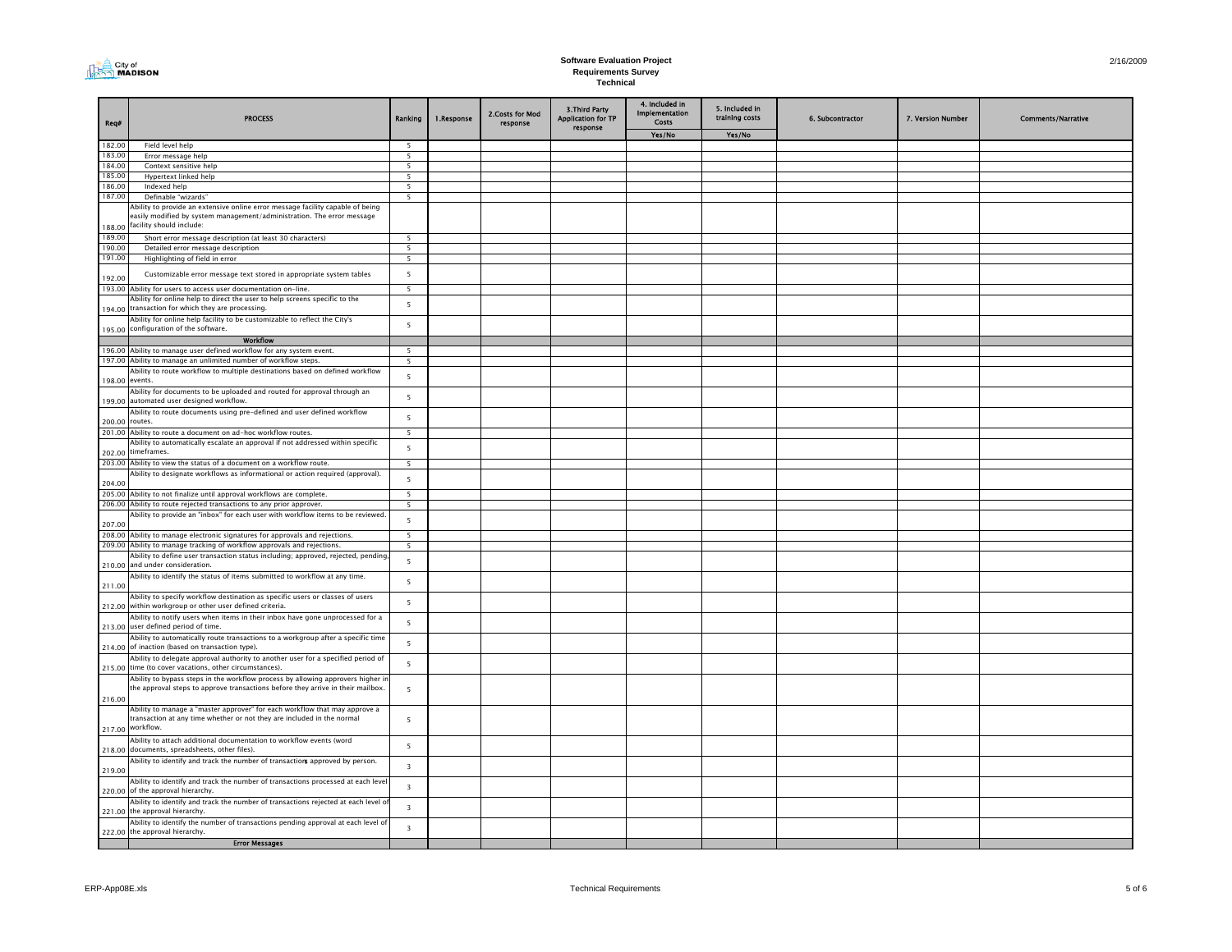|--|

| Req#             | <b>PROCESS</b>                                                                                                                                                                                   | Ranking                       | 1.Response | 2.Costs for Mod<br>response | 3. Third Party<br><b>Application for TP</b><br>response | 4. Included in<br>Implementation<br>Costs | 5. Included in<br>training costs | 6. Subcontractor | 7. Version Number | <b>Comments/Narrative</b> |
|------------------|--------------------------------------------------------------------------------------------------------------------------------------------------------------------------------------------------|-------------------------------|------------|-----------------------------|---------------------------------------------------------|-------------------------------------------|----------------------------------|------------------|-------------------|---------------------------|
|                  |                                                                                                                                                                                                  |                               |            |                             |                                                         | Yes/No                                    | Yes/No                           |                  |                   |                           |
| 182.00           | Field level help                                                                                                                                                                                 | - 5                           |            |                             |                                                         |                                           |                                  |                  |                   |                           |
| 183.00<br>184.00 | Error message help<br>Context sensitive help                                                                                                                                                     | 5<br>5                        |            |                             |                                                         |                                           |                                  |                  |                   |                           |
| 185.00           | Hypertext linked help                                                                                                                                                                            | 5                             |            |                             |                                                         |                                           |                                  |                  |                   |                           |
| 186.00           | Indexed help                                                                                                                                                                                     | 5                             |            |                             |                                                         |                                           |                                  |                  |                   |                           |
| 187.00           | Definable "wizards"                                                                                                                                                                              | 5                             |            |                             |                                                         |                                           |                                  |                  |                   |                           |
| 188.00           | Ability to provide an extensive online error message facility capable of being<br>easily modified by system management/administration. The error message<br>facility should include:             |                               |            |                             |                                                         |                                           |                                  |                  |                   |                           |
| 189.00           | Short error message description (at least 30 characters)                                                                                                                                         | $\overline{5}$                |            |                             |                                                         |                                           |                                  |                  |                   |                           |
| 190.00           | Detailed error message description                                                                                                                                                               | 5                             |            |                             |                                                         |                                           |                                  |                  |                   |                           |
| 191.00           | Highlighting of field in error                                                                                                                                                                   | $\overline{\phantom{0}}$      |            |                             |                                                         |                                           |                                  |                  |                   |                           |
| 192.00           | Customizable error message text stored in appropriate system tables<br>193.00 Ability for users to access user documentation on-line.                                                            | 5<br>$\overline{\phantom{a}}$ |            |                             |                                                         |                                           |                                  |                  |                   |                           |
|                  | Ability for online help to direct the user to help screens specific to the                                                                                                                       |                               |            |                             |                                                         |                                           |                                  |                  |                   |                           |
|                  | 194.00 transaction for which they are processing.<br>Ability for online help facility to be customizable to reflect the City's                                                                   | 5                             |            |                             |                                                         |                                           |                                  |                  |                   |                           |
|                  | 195.00 configuration of the software.                                                                                                                                                            | 5                             |            |                             |                                                         |                                           |                                  |                  |                   |                           |
|                  | <b>Workflow</b>                                                                                                                                                                                  |                               |            |                             |                                                         |                                           |                                  |                  |                   |                           |
|                  | 196.00 Ability to manage user defined workflow for any system event.                                                                                                                             | 5                             |            |                             |                                                         |                                           |                                  |                  |                   |                           |
|                  | 197.00 Ability to manage an unlimited number of workflow steps.<br>Ability to route workflow to multiple destinations based on defined workflow                                                  | 5                             |            |                             |                                                         |                                           |                                  |                  |                   |                           |
|                  | 198.00 events.<br>Ability for documents to be uploaded and routed for approval through an                                                                                                        | 5                             |            |                             |                                                         |                                           |                                  |                  |                   |                           |
|                  | 199.00 automated user designed workflow.<br>Ability to route documents using pre-defined and user defined workflow                                                                               | 5                             |            |                             |                                                         |                                           |                                  |                  |                   |                           |
| 200.00           | routes.                                                                                                                                                                                          | 5                             |            |                             |                                                         |                                           |                                  |                  |                   |                           |
|                  | 201.00 Ability to route a document on ad-hoc workflow routes.                                                                                                                                    | 5                             |            |                             |                                                         |                                           |                                  |                  |                   |                           |
|                  | Ability to automatically escalate an approval if not addressed within specific                                                                                                                   | 5                             |            |                             |                                                         |                                           |                                  |                  |                   |                           |
| 202.00           | timeframes.<br>203.00 Ability to view the status of a document on a workflow route.                                                                                                              |                               |            |                             |                                                         |                                           |                                  |                  |                   |                           |
|                  | Ability to designate workflows as informational or action required (approval).                                                                                                                   | 5                             |            |                             |                                                         |                                           |                                  |                  |                   |                           |
| 204.00           |                                                                                                                                                                                                  | 5                             |            |                             |                                                         |                                           |                                  |                  |                   |                           |
| 205.00           | Ability to not finalize until approval workflows are complete.                                                                                                                                   | 5                             |            |                             |                                                         |                                           |                                  |                  |                   |                           |
| 206.00           | Ability to route rejected transactions to any prior approver.                                                                                                                                    | 5                             |            |                             |                                                         |                                           |                                  |                  |                   |                           |
| 207.00           | Ability to provide an "inbox" for each user with workflow items to be reviewed                                                                                                                   | 5                             |            |                             |                                                         |                                           |                                  |                  |                   |                           |
|                  | 208.00 Ability to manage electronic signatures for approvals and rejections.<br>209.00 Ability to manage tracking of workflow approvals and rejections.                                          | 5<br>5                        |            |                             |                                                         |                                           |                                  |                  |                   |                           |
|                  | Ability to define user transaction status including; approved, rejected, pending<br>210.00 and under consideration.                                                                              | 5                             |            |                             |                                                         |                                           |                                  |                  |                   |                           |
| 211.00           | Ability to identify the status of items submitted to workflow at any time.                                                                                                                       | 5                             |            |                             |                                                         |                                           |                                  |                  |                   |                           |
|                  | Ability to specify workflow destination as specific users or classes of users                                                                                                                    | 5                             |            |                             |                                                         |                                           |                                  |                  |                   |                           |
|                  | 212.00 within workgroup or other user defined criteria.<br>Ability to notify users when items in their inbox have gone unprocessed for a                                                         | 5                             |            |                             |                                                         |                                           |                                  |                  |                   |                           |
|                  | 213.00 user defined period of time.<br>Ability to automatically route transactions to a workgroup after a specific time                                                                          | 5                             |            |                             |                                                         |                                           |                                  |                  |                   |                           |
| 214.00           | of inaction (based on transaction type).<br>Ability to delegate approval authority to another user for a specified period of<br>time (to cover vacations, other circumstances).                  | 5                             |            |                             |                                                         |                                           |                                  |                  |                   |                           |
| 215.00           | Ability to bypass steps in the workflow process by allowing approvers higher in<br>the approval steps to approve transactions before they arrive in their mailbox.                               | $\overline{5}$                |            |                             |                                                         |                                           |                                  |                  |                   |                           |
| 216.00           | Ability to manage a "master approver" for each workflow that may approve a                                                                                                                       |                               |            |                             |                                                         |                                           |                                  |                  |                   |                           |
|                  | transaction at any time whether or not they are included in the normal<br>217.00 workflow.                                                                                                       | $\overline{5}$                |            |                             |                                                         |                                           |                                  |                  |                   |                           |
|                  | Ability to attach additional documentation to workflow events (word<br>218.00 documents, spreadsheets, other files).                                                                             | 5                             |            |                             |                                                         |                                           |                                  |                  |                   |                           |
| 219.00           | Ability to identify and track the number of transactions approved by person.                                                                                                                     | $\overline{\mathbf{3}}$       |            |                             |                                                         |                                           |                                  |                  |                   |                           |
|                  | Ability to identify and track the number of transactions processed at each leve<br>220.00 of the approval hierarchy.                                                                             | $\overline{\mathbf{3}}$       |            |                             |                                                         |                                           |                                  |                  |                   |                           |
| 221.00           | Ability to identify and track the number of transactions rejected at each level o<br>the approval hierarchy.<br>Ability to identify the number of transactions pending approval at each level of | $\overline{\mathbf{3}}$       |            |                             |                                                         |                                           |                                  |                  |                   |                           |
|                  | 222.00 the approval hierarchy.<br><b>Error Messages</b>                                                                                                                                          | $\overline{\mathbf{3}}$       |            |                             |                                                         |                                           |                                  |                  |                   |                           |
|                  |                                                                                                                                                                                                  |                               |            |                             |                                                         |                                           |                                  |                  |                   |                           |